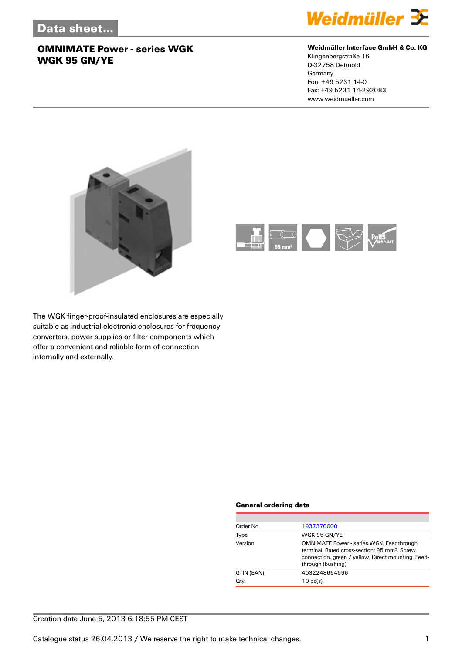

#### **Weidmüller Interface GmbH & Co. KG**

Klingenbergstraße 16 D-32758 Detmold Germany Fon: +49 5231 14-0 Fax: +49 5231 14-292083 www.weidmueller.com





The WGK finger-proof-insulated enclosures are especially suitable as industrial electronic enclosures for frequency converters, power supplies or filter components which offer a convenient and reliable form of connection internally and externally.

#### **General ordering data**

| Order No.  | 1937370000                                                                                                                                                                              |
|------------|-----------------------------------------------------------------------------------------------------------------------------------------------------------------------------------------|
| Type       | WGK 95 GN/YE                                                                                                                                                                            |
| Version    | <b>OMNIMATE Power - series WGK, Feedthrough</b><br>terminal, Rated cross-section: 95 mm <sup>2</sup> , Screw<br>connection, green / yellow, Direct mounting, Feed-<br>through (bushing) |
| GTIN (EAN) | 4032248664696                                                                                                                                                                           |
| Qty.       | $10$ pc(s).                                                                                                                                                                             |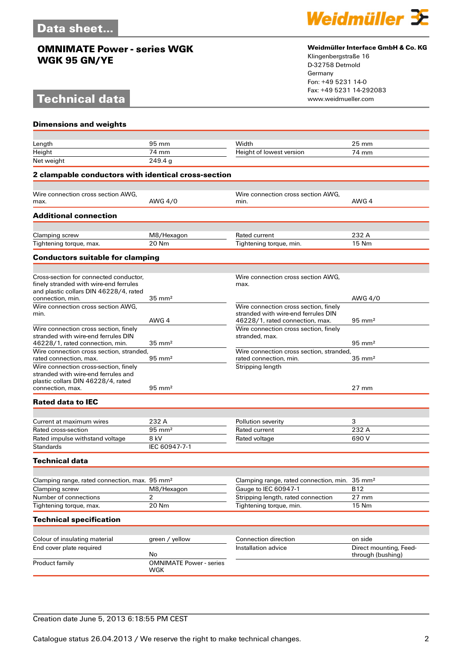# **Technical data**



#### **Weidmüller Interface GmbH & Co. KG**

Klingenbergstraße 16 D-32758 Detmold Germany Fon: +49 5231 14-0 Fax: +49 5231 14-292083

| <b>Dimensions and weights</b>                                                    |                                |                                                         |                                             |  |  |
|----------------------------------------------------------------------------------|--------------------------------|---------------------------------------------------------|---------------------------------------------|--|--|
|                                                                                  |                                |                                                         |                                             |  |  |
| Length                                                                           | 95 mm                          | Width                                                   | $25 \text{ mm}$                             |  |  |
| Height                                                                           | 74 mm                          | Height of lowest version                                | 74 mm                                       |  |  |
| Net weight                                                                       | 249.4a                         |                                                         |                                             |  |  |
| 2 clampable conductors with identical cross-section                              |                                |                                                         |                                             |  |  |
|                                                                                  |                                |                                                         |                                             |  |  |
| Wire connection cross section AWG,                                               |                                | Wire connection cross section AWG,                      |                                             |  |  |
| max.                                                                             | AWG 4/0                        | min.                                                    | AWG 4                                       |  |  |
| <b>Additional connection</b>                                                     |                                |                                                         |                                             |  |  |
|                                                                                  |                                |                                                         |                                             |  |  |
| Clamping screw                                                                   | M8/Hexagon                     | Rated current                                           | 232 A                                       |  |  |
| Tightening torque, max.                                                          | 20 Nm                          | Tightening torque, min.                                 | 15 Nm                                       |  |  |
| <b>Conductors suitable for clamping</b>                                          |                                |                                                         |                                             |  |  |
|                                                                                  |                                |                                                         |                                             |  |  |
| Cross-section for connected conductor.<br>finely stranded with wire-end ferrules |                                | Wire connection cross section AWG,                      |                                             |  |  |
| and plastic collars DIN 46228/4, rated                                           |                                | max.                                                    |                                             |  |  |
| connection, min.                                                                 | $35 \text{ mm}^2$              |                                                         | AWG 4/0                                     |  |  |
| Wire connection cross section AWG,                                               |                                | Wire connection cross section, finely                   |                                             |  |  |
| min.                                                                             |                                | stranded with wire-end ferrules DIN                     |                                             |  |  |
|                                                                                  | AWG 4                          | 46228/1, rated connection, max.                         | $95 \text{ mm}^2$                           |  |  |
| Wire connection cross section, finely<br>stranded with wire-end ferrules DIN     |                                | Wire connection cross section, finely<br>stranded, max. |                                             |  |  |
| 46228/1, rated connection, min.                                                  | $35 \text{ mm}^2$              |                                                         | $95 \text{ mm}^2$                           |  |  |
| Wire connection cross section, stranded,                                         |                                | Wire connection cross section, stranded,                |                                             |  |  |
| rated connection, max.                                                           | $95 \text{ mm}^2$              | rated connection, min.                                  | $35 \text{ mm}^2$                           |  |  |
| Wire connection cross-section, finely                                            |                                | Stripping length                                        |                                             |  |  |
| stranded with wire-end ferrules and<br>plastic collars DIN 46228/4, rated        |                                |                                                         |                                             |  |  |
| connection, max.                                                                 | $95 \text{ mm}^2$              |                                                         | $27 \text{ mm}$                             |  |  |
| <b>Rated data to IEC</b>                                                         |                                |                                                         |                                             |  |  |
|                                                                                  |                                |                                                         |                                             |  |  |
| Current at maximum wires                                                         | 232 A                          | Pollution severity                                      | 3                                           |  |  |
| Rated cross-section                                                              | $95 \text{ mm}^2$              | Rated current                                           | 232 A                                       |  |  |
| Rated impulse withstand voltage                                                  | 8 kV                           | Rated voltage                                           | 690V                                        |  |  |
| <b>Standards</b>                                                                 | IEC 60947-7-1                  |                                                         |                                             |  |  |
| Technical data                                                                   |                                |                                                         |                                             |  |  |
|                                                                                  |                                |                                                         |                                             |  |  |
| Clamping range, rated connection, max. 95 mm <sup>2</sup>                        |                                | Clamping range, rated connection, min.                  | $35 \text{ mm}^2$                           |  |  |
| Clamping screw                                                                   | M8/Hexagon                     | Gauge to IEC 60947-1                                    | <b>B12</b>                                  |  |  |
| Number of connections                                                            | 2                              | Stripping length, rated connection                      | $27$ mm                                     |  |  |
| Tightening torque, max.                                                          | 20 Nm                          | Tightening torque, min.                                 | 15 Nm                                       |  |  |
| <b>Technical specification</b>                                                   |                                |                                                         |                                             |  |  |
|                                                                                  |                                |                                                         |                                             |  |  |
| Colour of insulating material                                                    | green / yellow                 | Connection direction                                    | on side                                     |  |  |
| End cover plate required                                                         | No                             | Installation advice                                     | Direct mounting, Feed-<br>through (bushing) |  |  |
| Product family                                                                   | <b>OMNIMATE Power - series</b> |                                                         |                                             |  |  |
|                                                                                  | WGK                            |                                                         |                                             |  |  |

### Creation date June 5, 2013 6:18:55 PM CEST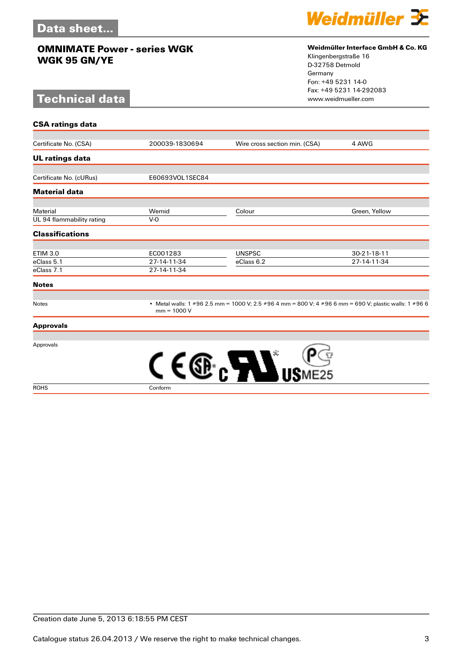# **Technical data**



#### **Weidmüller Interface GmbH & Co. KG**

Klingenbergstraße 16 D-32758 Detmold Germany Fon: +49 5231 14-0 Fax: +49 5231 14-292083

| <b>CSA ratings data</b>   |                 |                                                                                                        |               |  |
|---------------------------|-----------------|--------------------------------------------------------------------------------------------------------|---------------|--|
|                           |                 |                                                                                                        |               |  |
| Certificate No. (CSA)     | 200039-1830694  | Wire cross section min. (CSA)                                                                          | 4 AWG         |  |
| <b>UL ratings data</b>    |                 |                                                                                                        |               |  |
| Certificate No. (cURus)   | E60693VOL1SEC84 |                                                                                                        |               |  |
| <b>Material data</b>      |                 |                                                                                                        |               |  |
| Material                  | Wemid           | Colour                                                                                                 | Green, Yellow |  |
| UL 94 flammability rating | $V-0$           |                                                                                                        |               |  |
| <b>Classifications</b>    |                 |                                                                                                        |               |  |
| <b>ETIM 3.0</b>           | EC001283        | <b>UNSPSC</b>                                                                                          | 30-21-18-11   |  |
| eClass 5.1                | 27-14-11-34     | eClass 6.2                                                                                             | 27-14-11-34   |  |
| eClass 7.1                | 27-14-11-34     |                                                                                                        |               |  |
| <b>Notes</b>              |                 |                                                                                                        |               |  |
| Notes                     | $mm = 1000 V$   | • Metal walls: 1 #96 2.5 mm = 1000 V; 2.5 #96 4 mm = 800 V; 4 #96 6 mm = 690 V; plastic walls: 1 #96 6 |               |  |
| <b>Approvals</b>          |                 |                                                                                                        |               |  |
| Approvals                 |                 | m                                                                                                      |               |  |
|                           |                 |                                                                                                        |               |  |

ROHS Conform